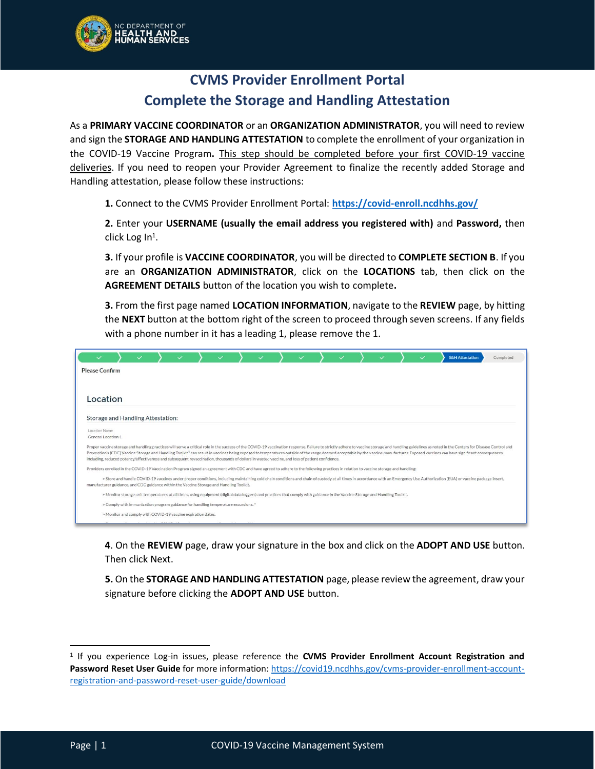

## **CVMS Provider Enrollment Portal Complete the Storage and Handling Attestation**

As a **PRIMARY VACCINE COORDINATOR** or an **ORGANIZATION ADMINISTRATOR**, you will need to review and sign the **STORAGE AND HANDLING ATTESTATION** to complete the enrollment of your organization in the COVID-19 Vaccine Program**.** This step should be completed before your first COVID-19 vaccine deliveries. If you need to reopen your Provider Agreement to finalize the recently added Storage and Handling attestation, please follow these instructions:

**1.** Connect to the CVMS Provider Enrollment Portal: **<https://covid-enroll.ncdhhs.gov/>**

**2.** Enter your **USERNAME (usually the email address you registered with)** and **Password,** then click Log In<sup>1</sup>.

**3.** If your profile is **VACCINE COORDINATOR**, you will be directed to **COMPLETE SECTION B**. If you are an **ORGANIZATION ADMINISTRATOR**, click on the **LOCATIONS** tab, then click on the **AGREEMENT DETAILS** button of the location you wish to complete**.**

**3.** From the first page named **LOCATION INFORMATION**, navigate to the **REVIEW** page, by hitting the **NEXT** button at the bottom right of the screen to proceed through seven screens. If any fields with a phone number in it has a leading 1, please remove the 1.

|                                                                                                                                                                                                                                                                                                                                                                                                                                                                                                                                                                                                                              |                                                                                                                                                                                                                                                                                                                            |  |  |  |  |  |  |  |  |  |  |  |  |  | <b>S&amp;H Attestation</b> | Completed |
|------------------------------------------------------------------------------------------------------------------------------------------------------------------------------------------------------------------------------------------------------------------------------------------------------------------------------------------------------------------------------------------------------------------------------------------------------------------------------------------------------------------------------------------------------------------------------------------------------------------------------|----------------------------------------------------------------------------------------------------------------------------------------------------------------------------------------------------------------------------------------------------------------------------------------------------------------------------|--|--|--|--|--|--|--|--|--|--|--|--|--|----------------------------|-----------|
| <b>Please Confirm</b>                                                                                                                                                                                                                                                                                                                                                                                                                                                                                                                                                                                                        |                                                                                                                                                                                                                                                                                                                            |  |  |  |  |  |  |  |  |  |  |  |  |  |                            |           |
|                                                                                                                                                                                                                                                                                                                                                                                                                                                                                                                                                                                                                              |                                                                                                                                                                                                                                                                                                                            |  |  |  |  |  |  |  |  |  |  |  |  |  |                            |           |
| Location                                                                                                                                                                                                                                                                                                                                                                                                                                                                                                                                                                                                                     |                                                                                                                                                                                                                                                                                                                            |  |  |  |  |  |  |  |  |  |  |  |  |  |                            |           |
| Storage and Handling Attestation:                                                                                                                                                                                                                                                                                                                                                                                                                                                                                                                                                                                            |                                                                                                                                                                                                                                                                                                                            |  |  |  |  |  |  |  |  |  |  |  |  |  |                            |           |
| Location Name<br>General Location 1                                                                                                                                                                                                                                                                                                                                                                                                                                                                                                                                                                                          |                                                                                                                                                                                                                                                                                                                            |  |  |  |  |  |  |  |  |  |  |  |  |  |                            |           |
| Proper vaccine storage and handling practices will serve a critical role in the success of the COVID-19 vaccination response. Failure to strictly adhere to vaccine storage and handling guidelines as noted in the Centers fo<br>Prevention's (CDC) Vaccine Storage and Handling Toolkit <sup>1</sup> can result in vaccines being exposed to temperatures outside of the range deemed acceptable by the vaccine manufacturer. Exposed vaccines can have significant cons<br>including, reduced potency/effectiveness and subsequent revaccination, thousands of dollars in wasted vaccine, and loss of patient confidence. |                                                                                                                                                                                                                                                                                                                            |  |  |  |  |  |  |  |  |  |  |  |  |  |                            |           |
|                                                                                                                                                                                                                                                                                                                                                                                                                                                                                                                                                                                                                              | Providers enrolled in the COVID-19 Vaccination Program signed an agreement with CDC and have agreed to adhere to the following practices in relation to vaccine storage and handling:                                                                                                                                      |  |  |  |  |  |  |  |  |  |  |  |  |  |                            |           |
|                                                                                                                                                                                                                                                                                                                                                                                                                                                                                                                                                                                                                              | > Store and handle COVID-19 vaccines under proper conditions, including maintaining cold chain conditions and chain of custody at all times in accordance with an Emergency Use Authorization (EUA) or vaccine package insert,<br>manufacturer guidance, and CDC guidance within the Vaccine Storage and Handling Toolkit. |  |  |  |  |  |  |  |  |  |  |  |  |  |                            |           |
|                                                                                                                                                                                                                                                                                                                                                                                                                                                                                                                                                                                                                              | > Monitor storage unit temperatures at all times, using equipment (digital data loggers) and practices that comply with guidance in the Vaccine Storage and Handling Toolkit.                                                                                                                                              |  |  |  |  |  |  |  |  |  |  |  |  |  |                            |           |
|                                                                                                                                                                                                                                                                                                                                                                                                                                                                                                                                                                                                                              | > Comply with immunization program guidance for handling temperature excursions.*                                                                                                                                                                                                                                          |  |  |  |  |  |  |  |  |  |  |  |  |  |                            |           |
|                                                                                                                                                                                                                                                                                                                                                                                                                                                                                                                                                                                                                              | > Monitor and comply with COVID-19 vaccine expiration dates.                                                                                                                                                                                                                                                               |  |  |  |  |  |  |  |  |  |  |  |  |  |                            |           |

**4**. On the **REVIEW** page, draw your signature in the box and click on the **ADOPT AND USE** button. Then click Next.

**5.** On the **STORAGE AND HANDLING ATTESTATION** page, please review the agreement, draw your signature before clicking the **ADOPT AND USE** button.

<sup>1</sup> If you experience Log-in issues, please reference the **CVMS Provider Enrollment Account Registration and Password Reset User Guide** for more information: [https://covid19.ncdhhs.gov/cvms-provider-enrollment-account](https://covid19.ncdhhs.gov/cvms-provider-enrollment-account-registration-and-password-reset-user-guide/download)[registration-and-password-reset-user-guide/download](https://covid19.ncdhhs.gov/cvms-provider-enrollment-account-registration-and-password-reset-user-guide/download)